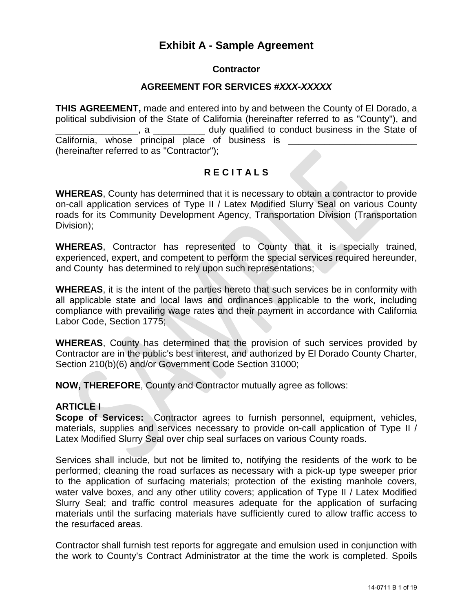## **Exhibit A - Sample Agreement**

#### **Contractor**

#### **AGREEMENT FOR SERVICES #***XXX-XXXXX*

**THIS AGREEMENT,** made and entered into by and between the County of El Dorado, a political subdivision of the State of California (hereinafter referred to as "County"), and . a **Example 2** duly qualified to conduct business in the State of California, whose principal place of business is \_\_\_\_\_\_\_\_\_\_\_\_\_\_\_\_\_\_\_\_\_\_\_\_\_\_\_\_\_\_\_ (hereinafter referred to as "Contractor");

#### **R E C I T A L S**

**WHEREAS**, County has determined that it is necessary to obtain a contractor to provide on-call application services of Type II / Latex Modified Slurry Seal on various County roads for its Community Development Agency, Transportation Division (Transportation Division);

**WHEREAS**, Contractor has represented to County that it is specially trained, experienced, expert, and competent to perform the special services required hereunder, and County has determined to rely upon such representations;

**WHEREAS**, it is the intent of the parties hereto that such services be in conformity with all applicable state and local laws and ordinances applicable to the work, including compliance with prevailing wage rates and their payment in accordance with California Labor Code, Section 1775;

**WHEREAS**, County has determined that the provision of such services provided by Contractor are in the public's best interest, and authorized by El Dorado County Charter, Section 210(b)(6) and/or Government Code Section 31000;

**NOW, THEREFORE**, County and Contractor mutually agree as follows:

#### **ARTICLE I**

**Scope of Services:** Contractor agrees to furnish personnel, equipment, vehicles, materials, supplies and services necessary to provide on-call application of Type II / Latex Modified Slurry Seal over chip seal surfaces on various County roads.

Services shall include, but not be limited to, notifying the residents of the work to be performed; cleaning the road surfaces as necessary with a pick-up type sweeper prior to the application of surfacing materials; protection of the existing manhole covers, water valve boxes, and any other utility covers; application of Type II / Latex Modified Slurry Seal; and traffic control measures adequate for the application of surfacing materials until the surfacing materials have sufficiently cured to allow traffic access to the resurfaced areas.

Contractor shall furnish test reports for aggregate and emulsion used in conjunction with the work to County's Contract Administrator at the time the work is completed. Spoils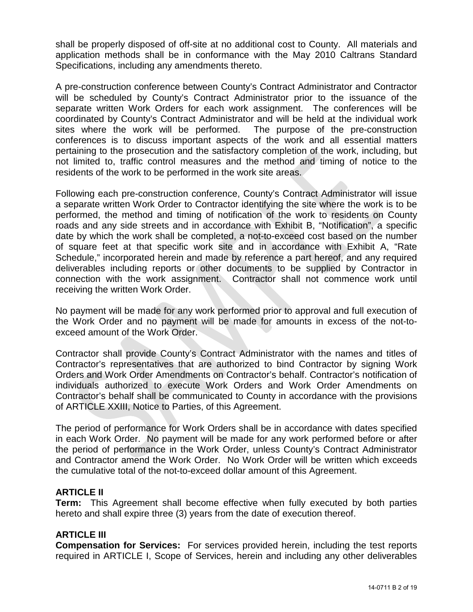shall be properly disposed of off-site at no additional cost to County. All materials and application methods shall be in conformance with the May 2010 Caltrans Standard Specifications, including any amendments thereto.

A pre-construction conference between County's Contract Administrator and Contractor will be scheduled by County's Contract Administrator prior to the issuance of the separate written Work Orders for each work assignment. The conferences will be coordinated by County's Contract Administrator and will be held at the individual work sites where the work will be performed. The purpose of the pre-construction conferences is to discuss important aspects of the work and all essential matters pertaining to the prosecution and the satisfactory completion of the work, including, but not limited to, traffic control measures and the method and timing of notice to the residents of the work to be performed in the work site areas.

Following each pre-construction conference, County's Contract Administrator will issue a separate written Work Order to Contractor identifying the site where the work is to be performed, the method and timing of notification of the work to residents on County roads and any side streets and in accordance with Exhibit B, "Notification", a specific date by which the work shall be completed, a not-to-exceed cost based on the number of square feet at that specific work site and in accordance with Exhibit A, "Rate Schedule," incorporated herein and made by reference a part hereof, and any required deliverables including reports or other documents to be supplied by Contractor in connection with the work assignment. Contractor shall not commence work until receiving the written Work Order.

No payment will be made for any work performed prior to approval and full execution of the Work Order and no payment will be made for amounts in excess of the not-toexceed amount of the Work Order.

Contractor shall provide County's Contract Administrator with the names and titles of Contractor's representatives that are authorized to bind Contractor by signing Work Orders and Work Order Amendments on Contractor's behalf. Contractor's notification of individuals authorized to execute Work Orders and Work Order Amendments on Contractor's behalf shall be communicated to County in accordance with the provisions of ARTICLE XXIII, Notice to Parties, of this Agreement.

The period of performance for Work Orders shall be in accordance with dates specified in each Work Order. No payment will be made for any work performed before or after the period of performance in the Work Order, unless County's Contract Administrator and Contractor amend the Work Order. No Work Order will be written which exceeds the cumulative total of the not-to-exceed dollar amount of this Agreement.

#### **ARTICLE II**

**Term:** This Agreement shall become effective when fully executed by both parties hereto and shall expire three (3) years from the date of execution thereof.

#### **ARTICLE III**

**Compensation for Services:** For services provided herein, including the test reports required in ARTICLE I, Scope of Services, herein and including any other deliverables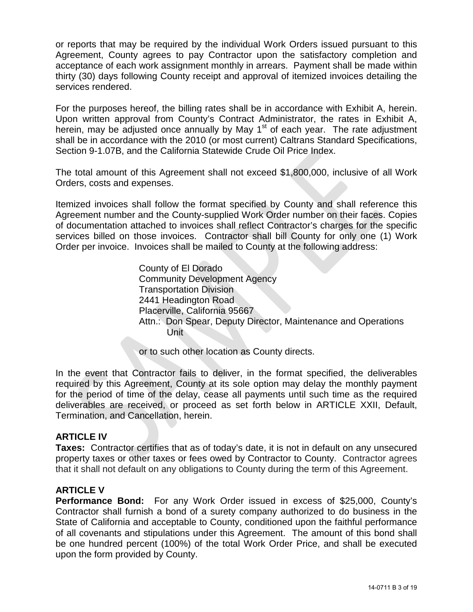or reports that may be required by the individual Work Orders issued pursuant to this Agreement, County agrees to pay Contractor upon the satisfactory completion and acceptance of each work assignment monthly in arrears. Payment shall be made within thirty (30) days following County receipt and approval of itemized invoices detailing the services rendered.

For the purposes hereof, the billing rates shall be in accordance with Exhibit A, herein. Upon written approval from County's Contract Administrator, the rates in Exhibit A, herein, may be adjusted once annually by May  $1<sup>st</sup>$  of each year. The rate adjustment shall be in accordance with the 2010 (or most current) Caltrans Standard Specifications, Section 9-1.07B, and the California Statewide Crude Oil Price Index.

The total amount of this Agreement shall not exceed \$1,800,000, inclusive of all Work Orders, costs and expenses.

Itemized invoices shall follow the format specified by County and shall reference this Agreement number and the County-supplied Work Order number on their faces. Copies of documentation attached to invoices shall reflect Contractor's charges for the specific services billed on those invoices. Contractor shall bill County for only one (1) Work Order per invoice. Invoices shall be mailed to County at the following address:

> County of El Dorado Community Development Agency Transportation Division 2441 Headington Road Placerville, California 95667 Attn.: Don Spear, Deputy Director, Maintenance and Operations Unit

or to such other location as County directs.

In the event that Contractor fails to deliver, in the format specified, the deliverables required by this Agreement, County at its sole option may delay the monthly payment for the period of time of the delay, cease all payments until such time as the required deliverables are received, or proceed as set forth below in ARTICLE XXII, Default, Termination, and Cancellation, herein.

#### **ARTICLE IV**

**Taxes:** Contractor certifies that as of today's date, it is not in default on any unsecured property taxes or other taxes or fees owed by Contractor to County. Contractor agrees that it shall not default on any obligations to County during the term of this Agreement.

#### **ARTICLE V**

**Performance Bond:** For any Work Order issued in excess of \$25,000, County's Contractor shall furnish a bond of a surety company authorized to do business in the State of California and acceptable to County, conditioned upon the faithful performance of all covenants and stipulations under this Agreement. The amount of this bond shall be one hundred percent (100%) of the total Work Order Price, and shall be executed upon the form provided by County.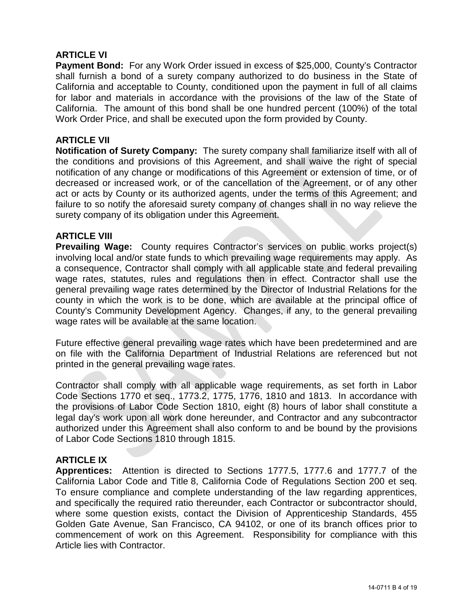#### **ARTICLE VI**

**Payment Bond:** For any Work Order issued in excess of \$25,000, County's Contractor shall furnish a bond of a surety company authorized to do business in the State of California and acceptable to County, conditioned upon the payment in full of all claims for labor and materials in accordance with the provisions of the law of the State of California. The amount of this bond shall be one hundred percent (100%) of the total Work Order Price, and shall be executed upon the form provided by County.

#### **ARTICLE VII**

**Notification of Surety Company:** The surety company shall familiarize itself with all of the conditions and provisions of this Agreement, and shall waive the right of special notification of any change or modifications of this Agreement or extension of time, or of decreased or increased work, or of the cancellation of the Agreement, or of any other act or acts by County or its authorized agents, under the terms of this Agreement; and failure to so notify the aforesaid surety company of changes shall in no way relieve the surety company of its obligation under this Agreement.

#### **ARTICLE VIII**

**Prevailing Wage:** County requires Contractor's services on public works project(s) involving local and/or state funds to which prevailing wage requirements may apply. As a consequence, Contractor shall comply with all applicable state and federal prevailing wage rates, statutes, rules and regulations then in effect. Contractor shall use the general prevailing wage rates determined by the Director of Industrial Relations for the county in which the work is to be done, which are available at the principal office of County's Community Development Agency. Changes, if any, to the general prevailing wage rates will be available at the same location.

Future effective general prevailing wage rates which have been predetermined and are on file with the California Department of Industrial Relations are referenced but not printed in the general prevailing wage rates.

Contractor shall comply with all applicable wage requirements, as set forth in Labor Code Sections 1770 et seq., 1773.2, 1775, 1776, 1810 and 1813. In accordance with the provisions of Labor Code Section 1810, eight (8) hours of labor shall constitute a legal day's work upon all work done hereunder, and Contractor and any subcontractor authorized under this Agreement shall also conform to and be bound by the provisions of Labor Code Sections 1810 through 1815.

#### **ARTICLE IX**

**Apprentices:** Attention is directed to Sections 1777.5, 1777.6 and 1777.7 of the California Labor Code and Title 8, California Code of Regulations Section 200 et seq. To ensure compliance and complete understanding of the law regarding apprentices, and specifically the required ratio thereunder, each Contractor or subcontractor should, where some question exists, contact the Division of Apprenticeship Standards, 455 Golden Gate Avenue, San Francisco, CA 94102, or one of its branch offices prior to commencement of work on this Agreement. Responsibility for compliance with this Article lies with Contractor.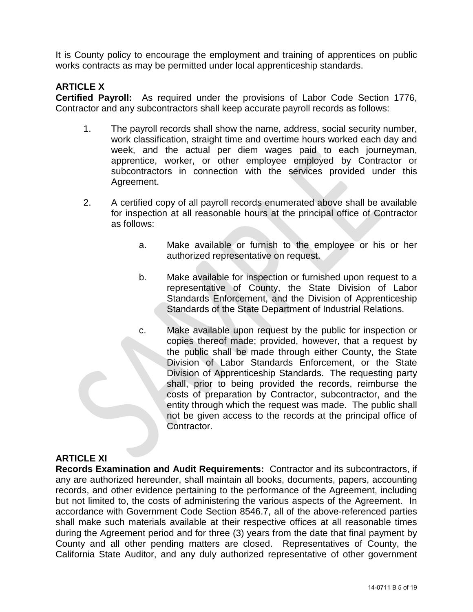It is County policy to encourage the employment and training of apprentices on public works contracts as may be permitted under local apprenticeship standards.

#### **ARTICLE X**

**Certified Payroll:** As required under the provisions of Labor Code Section 1776, Contractor and any subcontractors shall keep accurate payroll records as follows:

- 1. The payroll records shall show the name, address, social security number, work classification, straight time and overtime hours worked each day and week, and the actual per diem wages paid to each journeyman, apprentice, worker, or other employee employed by Contractor or subcontractors in connection with the services provided under this Agreement.
- 2. A certified copy of all payroll records enumerated above shall be available for inspection at all reasonable hours at the principal office of Contractor as follows:
	- a. Make available or furnish to the employee or his or her authorized representative on request.
	- b. Make available for inspection or furnished upon request to a representative of County, the State Division of Labor Standards Enforcement, and the Division of Apprenticeship Standards of the State Department of Industrial Relations.
	- c. Make available upon request by the public for inspection or copies thereof made; provided, however, that a request by the public shall be made through either County, the State Division of Labor Standards Enforcement, or the State Division of Apprenticeship Standards. The requesting party shall, prior to being provided the records, reimburse the costs of preparation by Contractor, subcontractor, and the entity through which the request was made. The public shall not be given access to the records at the principal office of Contractor.

## **ARTICLE XI**

**Records Examination and Audit Requirements:** Contractor and its subcontractors, if any are authorized hereunder, shall maintain all books, documents, papers, accounting records, and other evidence pertaining to the performance of the Agreement, including but not limited to, the costs of administering the various aspects of the Agreement. In accordance with Government Code Section 8546.7, all of the above-referenced parties shall make such materials available at their respective offices at all reasonable times during the Agreement period and for three (3) years from the date that final payment by County and all other pending matters are closed. Representatives of County, the California State Auditor, and any duly authorized representative of other government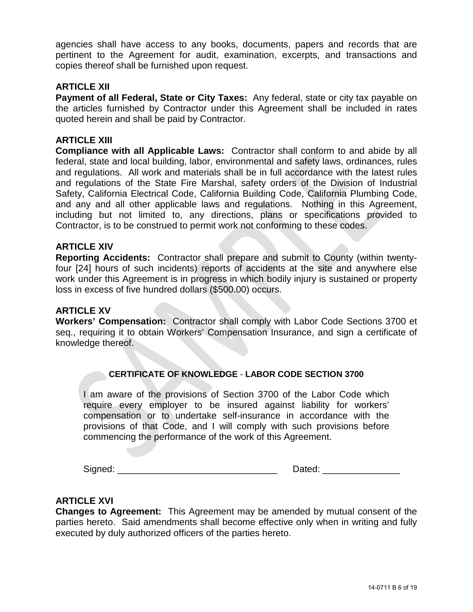agencies shall have access to any books, documents, papers and records that are pertinent to the Agreement for audit, examination, excerpts, and transactions and copies thereof shall be furnished upon request.

#### **ARTICLE XII**

**Payment of all Federal, State or City Taxes:** Any federal, state or city tax payable on the articles furnished by Contractor under this Agreement shall be included in rates quoted herein and shall be paid by Contractor.

#### **ARTICLE XIII**

**Compliance with all Applicable Laws:** Contractor shall conform to and abide by all federal, state and local building, labor, environmental and safety laws, ordinances, rules and regulations. All work and materials shall be in full accordance with the latest rules and regulations of the State Fire Marshal, safety orders of the Division of Industrial Safety, California Electrical Code, California Building Code, California Plumbing Code, and any and all other applicable laws and regulations. Nothing in this Agreement, including but not limited to, any directions, plans or specifications provided to Contractor, is to be construed to permit work not conforming to these codes.

#### **ARTICLE XIV**

**Reporting Accidents:** Contractor shall prepare and submit to County (within twentyfour [24] hours of such incidents) reports of accidents at the site and anywhere else work under this Agreement is in progress in which bodily injury is sustained or property loss in excess of five hundred dollars (\$500.00) occurs.

#### **ARTICLE XV**

**Workers' Compensation:** Contractor shall comply with Labor Code Sections 3700 et seq., requiring it to obtain Workers' Compensation Insurance, and sign a certificate of knowledge thereof.

#### **CERTIFICATE OF KNOWLEDGE** - **LABOR CODE SECTION 3700**

I am aware of the provisions of Section 3700 of the Labor Code which require every employer to be insured against liability for workers' compensation or to undertake self-insurance in accordance with the provisions of that Code, and I will comply with such provisions before commencing the performance of the work of this Agreement.

Signed: \_\_\_\_\_\_\_\_\_\_\_\_\_\_\_\_\_\_\_\_\_\_\_\_\_\_\_\_\_\_\_ Dated: \_\_\_\_\_\_\_\_\_\_\_\_\_\_\_

#### **ARTICLE XVI**

**Changes to Agreement:** This Agreement may be amended by mutual consent of the parties hereto. Said amendments shall become effective only when in writing and fully executed by duly authorized officers of the parties hereto.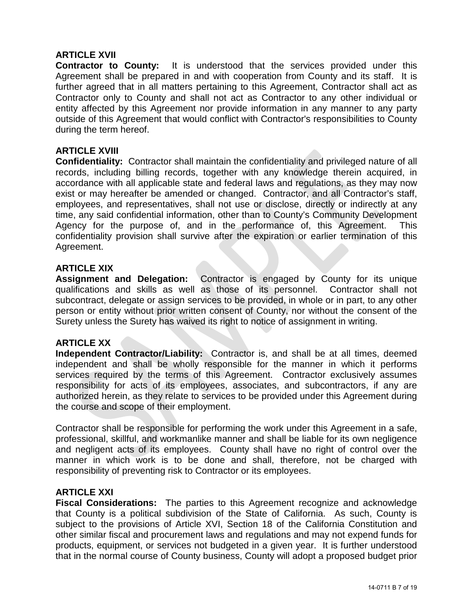#### **ARTICLE XVII**

**Contractor to County:** It is understood that the services provided under this Agreement shall be prepared in and with cooperation from County and its staff. It is further agreed that in all matters pertaining to this Agreement, Contractor shall act as Contractor only to County and shall not act as Contractor to any other individual or entity affected by this Agreement nor provide information in any manner to any party outside of this Agreement that would conflict with Contractor's responsibilities to County during the term hereof.

#### **ARTICLE XVIII**

**Confidentiality:** Contractor shall maintain the confidentiality and privileged nature of all records, including billing records, together with any knowledge therein acquired, in accordance with all applicable state and federal laws and regulations, as they may now exist or may hereafter be amended or changed. Contractor, and all Contractor's staff, employees, and representatives, shall not use or disclose, directly or indirectly at any time, any said confidential information, other than to County's Community Development Agency for the purpose of, and in the performance of, this Agreement. This confidentiality provision shall survive after the expiration or earlier termination of this Agreement.

#### **ARTICLE XIX**

**Assignment and Delegation:** Contractor is engaged by County for its unique qualifications and skills as well as those of its personnel. Contractor shall not subcontract, delegate or assign services to be provided, in whole or in part, to any other person or entity without prior written consent of County, nor without the consent of the Surety unless the Surety has waived its right to notice of assignment in writing.

#### **ARTICLE XX**

**Independent Contractor/Liability:** Contractor is, and shall be at all times, deemed independent and shall be wholly responsible for the manner in which it performs services required by the terms of this Agreement. Contractor exclusively assumes responsibility for acts of its employees, associates, and subcontractors, if any are authorized herein, as they relate to services to be provided under this Agreement during the course and scope of their employment.

Contractor shall be responsible for performing the work under this Agreement in a safe, professional, skillful, and workmanlike manner and shall be liable for its own negligence and negligent acts of its employees. County shall have no right of control over the manner in which work is to be done and shall, therefore, not be charged with responsibility of preventing risk to Contractor or its employees.

#### **ARTICLE XXI**

**Fiscal Considerations:** The parties to this Agreement recognize and acknowledge that County is a political subdivision of the State of California. As such, County is subject to the provisions of Article XVI, Section 18 of the California Constitution and other similar fiscal and procurement laws and regulations and may not expend funds for products, equipment, or services not budgeted in a given year. It is further understood that in the normal course of County business, County will adopt a proposed budget prior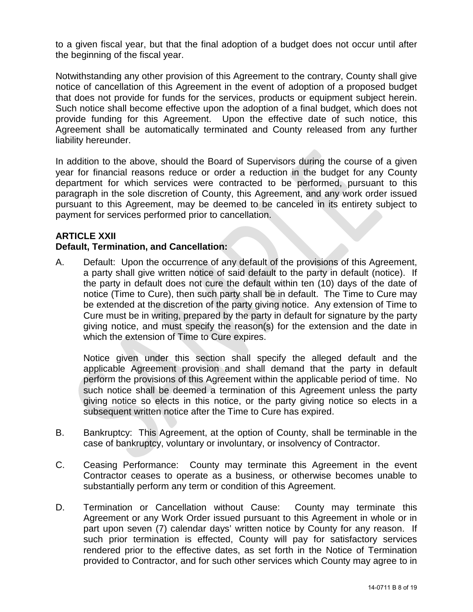to a given fiscal year, but that the final adoption of a budget does not occur until after the beginning of the fiscal year.

Notwithstanding any other provision of this Agreement to the contrary, County shall give notice of cancellation of this Agreement in the event of adoption of a proposed budget that does not provide for funds for the services, products or equipment subject herein. Such notice shall become effective upon the adoption of a final budget, which does not provide funding for this Agreement. Upon the effective date of such notice, this Agreement shall be automatically terminated and County released from any further liability hereunder.

In addition to the above, should the Board of Supervisors during the course of a given year for financial reasons reduce or order a reduction in the budget for any County department for which services were contracted to be performed, pursuant to this paragraph in the sole discretion of County, this Agreement, and any work order issued pursuant to this Agreement, may be deemed to be canceled in its entirety subject to payment for services performed prior to cancellation.

#### **ARTICLE XXII**

#### **Default, Termination, and Cancellation:**

A. Default: Upon the occurrence of any default of the provisions of this Agreement, a party shall give written notice of said default to the party in default (notice). If the party in default does not cure the default within ten (10) days of the date of notice (Time to Cure), then such party shall be in default. The Time to Cure may be extended at the discretion of the party giving notice. Any extension of Time to Cure must be in writing, prepared by the party in default for signature by the party giving notice, and must specify the reason(s) for the extension and the date in which the extension of Time to Cure expires.

Notice given under this section shall specify the alleged default and the applicable Agreement provision and shall demand that the party in default perform the provisions of this Agreement within the applicable period of time. No such notice shall be deemed a termination of this Agreement unless the party giving notice so elects in this notice, or the party giving notice so elects in a subsequent written notice after the Time to Cure has expired.

- B. Bankruptcy: This Agreement, at the option of County, shall be terminable in the case of bankruptcy, voluntary or involuntary, or insolvency of Contractor.
- C. Ceasing Performance: County may terminate this Agreement in the event Contractor ceases to operate as a business, or otherwise becomes unable to substantially perform any term or condition of this Agreement.
- D. Termination or Cancellation without Cause: County may terminate this Agreement or any Work Order issued pursuant to this Agreement in whole or in part upon seven (7) calendar days' written notice by County for any reason. If such prior termination is effected, County will pay for satisfactory services rendered prior to the effective dates, as set forth in the Notice of Termination provided to Contractor, and for such other services which County may agree to in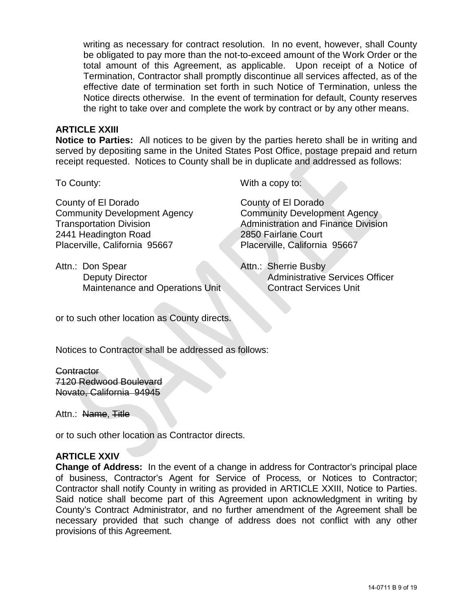writing as necessary for contract resolution. In no event, however, shall County be obligated to pay more than the not-to-exceed amount of the Work Order or the total amount of this Agreement, as applicable. Upon receipt of a Notice of Termination, Contractor shall promptly discontinue all services affected, as of the effective date of termination set forth in such Notice of Termination, unless the Notice directs otherwise. In the event of termination for default, County reserves the right to take over and complete the work by contract or by any other means.

#### **ARTICLE XXIII**

**Notice to Parties:** All notices to be given by the parties hereto shall be in writing and served by depositing same in the United States Post Office, postage prepaid and return receipt requested. Notices to County shall be in duplicate and addressed as follows:

County of El Dorado Community Development Agency Transportation Division 2441 Headington Road Placerville, California 95667

Attn.: Don Spear Deputy Director Maintenance and Operations Unit

To County: The County: The County: The County: The County: The County of The County: The County of The County of The County of The County of The County of The County of The County of The County of The County of The County

County of El Dorado Community Development Agency Administration and Finance Division 2850 Fairlane Court Placerville, California 95667

Attn.: Sherrie Busby Administrative Services Officer Contract Services Unit

or to such other location as County directs.

Notices to Contractor shall be addressed as follows:

**Contractor** 7120 Redwood Boulevard Novato, California 94945

Attn.: Name, Title

or to such other location as Contractor directs.

#### **ARTICLE XXIV**

**Change of Address:** In the event of a change in address for Contractor's principal place of business, Contractor's Agent for Service of Process, or Notices to Contractor; Contractor shall notify County in writing as provided in ARTICLE XXIII, Notice to Parties. Said notice shall become part of this Agreement upon acknowledgment in writing by County's Contract Administrator, and no further amendment of the Agreement shall be necessary provided that such change of address does not conflict with any other provisions of this Agreement.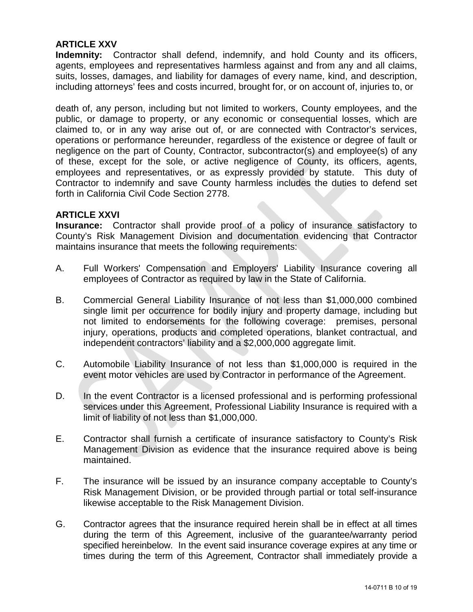#### **ARTICLE XXV**

**Indemnity:** Contractor shall defend, indemnify, and hold County and its officers, agents, employees and representatives harmless against and from any and all claims, suits, losses, damages, and liability for damages of every name, kind, and description, including attorneys' fees and costs incurred, brought for, or on account of, injuries to, or

death of, any person, including but not limited to workers, County employees, and the public, or damage to property, or any economic or consequential losses, which are claimed to, or in any way arise out of, or are connected with Contractor's services, operations or performance hereunder, regardless of the existence or degree of fault or negligence on the part of County, Contractor, subcontractor(s) and employee(s) of any of these, except for the sole, or active negligence of County, its officers, agents, employees and representatives, or as expressly provided by statute. This duty of Contractor to indemnify and save County harmless includes the duties to defend set forth in California Civil Code Section 2778.

#### **ARTICLE XXVI**

**Insurance:** Contractor shall provide proof of a policy of insurance satisfactory to County's Risk Management Division and documentation evidencing that Contractor maintains insurance that meets the following requirements:

- A. Full Workers' Compensation and Employers' Liability Insurance covering all employees of Contractor as required by law in the State of California.
- B. Commercial General Liability Insurance of not less than \$1,000,000 combined single limit per occurrence for bodily injury and property damage, including but not limited to endorsements for the following coverage: premises, personal injury, operations, products and completed operations, blanket contractual, and independent contractors' liability and a \$2,000,000 aggregate limit.
- C. Automobile Liability Insurance of not less than \$1,000,000 is required in the event motor vehicles are used by Contractor in performance of the Agreement.
- D. In the event Contractor is a licensed professional and is performing professional services under this Agreement, Professional Liability Insurance is required with a limit of liability of not less than \$1,000,000.
- E. Contractor shall furnish a certificate of insurance satisfactory to County's Risk Management Division as evidence that the insurance required above is being maintained.
- F. The insurance will be issued by an insurance company acceptable to County's Risk Management Division, or be provided through partial or total self-insurance likewise acceptable to the Risk Management Division.
- G. Contractor agrees that the insurance required herein shall be in effect at all times during the term of this Agreement, inclusive of the guarantee/warranty period specified hereinbelow. In the event said insurance coverage expires at any time or times during the term of this Agreement, Contractor shall immediately provide a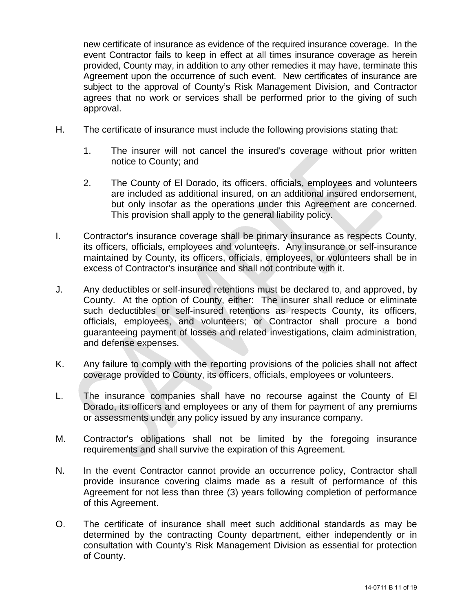new certificate of insurance as evidence of the required insurance coverage. In the event Contractor fails to keep in effect at all times insurance coverage as herein provided, County may, in addition to any other remedies it may have, terminate this Agreement upon the occurrence of such event. New certificates of insurance are subject to the approval of County's Risk Management Division, and Contractor agrees that no work or services shall be performed prior to the giving of such approval.

- H. The certificate of insurance must include the following provisions stating that:
	- 1. The insurer will not cancel the insured's coverage without prior written notice to County; and
	- 2. The County of El Dorado, its officers, officials, employees and volunteers are included as additional insured, on an additional insured endorsement, but only insofar as the operations under this Agreement are concerned. This provision shall apply to the general liability policy.
- I. Contractor's insurance coverage shall be primary insurance as respects County, its officers, officials, employees and volunteers. Any insurance or self-insurance maintained by County, its officers, officials, employees, or volunteers shall be in excess of Contractor's insurance and shall not contribute with it.
- J. Any deductibles or self-insured retentions must be declared to, and approved, by County. At the option of County, either: The insurer shall reduce or eliminate such deductibles or self-insured retentions as respects County, its officers, officials, employees, and volunteers; or Contractor shall procure a bond guaranteeing payment of losses and related investigations, claim administration, and defense expenses.
- K. Any failure to comply with the reporting provisions of the policies shall not affect coverage provided to County, its officers, officials, employees or volunteers.
- L. The insurance companies shall have no recourse against the County of El Dorado, its officers and employees or any of them for payment of any premiums or assessments under any policy issued by any insurance company.
- M. Contractor's obligations shall not be limited by the foregoing insurance requirements and shall survive the expiration of this Agreement.
- N. In the event Contractor cannot provide an occurrence policy, Contractor shall provide insurance covering claims made as a result of performance of this Agreement for not less than three (3) years following completion of performance of this Agreement.
- O. The certificate of insurance shall meet such additional standards as may be determined by the contracting County department, either independently or in consultation with County's Risk Management Division as essential for protection of County.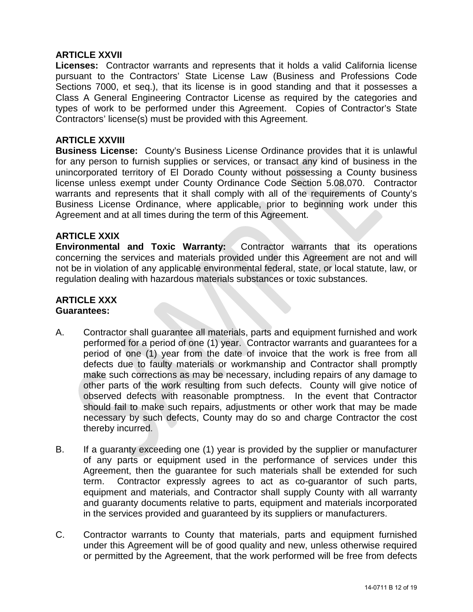#### **ARTICLE XXVII**

**Licenses:** Contractor warrants and represents that it holds a valid California license pursuant to the Contractors' State License Law (Business and Professions Code Sections 7000, et seq.), that its license is in good standing and that it possesses a Class A General Engineering Contractor License as required by the categories and types of work to be performed under this Agreement. Copies of Contractor's State Contractors' license(s) must be provided with this Agreement.

#### **ARTICLE XXVIII**

**Business License:** County's Business License Ordinance provides that it is unlawful for any person to furnish supplies or services, or transact any kind of business in the unincorporated territory of El Dorado County without possessing a County business license unless exempt under County Ordinance Code Section 5.08.070. Contractor warrants and represents that it shall comply with all of the requirements of County's Business License Ordinance, where applicable, prior to beginning work under this Agreement and at all times during the term of this Agreement.

#### **ARTICLE XXIX**

**Environmental and Toxic Warranty:** Contractor warrants that its operations concerning the services and materials provided under this Agreement are not and will not be in violation of any applicable environmental federal, state, or local statute, law, or regulation dealing with hazardous materials substances or toxic substances.

#### **ARTICLE XXX Guarantees:**

- A. Contractor shall guarantee all materials, parts and equipment furnished and work performed for a period of one (1) year. Contractor warrants and guarantees for a period of one (1) year from the date of invoice that the work is free from all defects due to faulty materials or workmanship and Contractor shall promptly make such corrections as may be necessary, including repairs of any damage to other parts of the work resulting from such defects. County will give notice of observed defects with reasonable promptness. In the event that Contractor should fail to make such repairs, adjustments or other work that may be made necessary by such defects, County may do so and charge Contractor the cost thereby incurred.
- B. If a guaranty exceeding one (1) year is provided by the supplier or manufacturer of any parts or equipment used in the performance of services under this Agreement, then the guarantee for such materials shall be extended for such term. Contractor expressly agrees to act as co-guarantor of such parts, equipment and materials, and Contractor shall supply County with all warranty and guaranty documents relative to parts, equipment and materials incorporated in the services provided and guaranteed by its suppliers or manufacturers.
- C. Contractor warrants to County that materials, parts and equipment furnished under this Agreement will be of good quality and new, unless otherwise required or permitted by the Agreement, that the work performed will be free from defects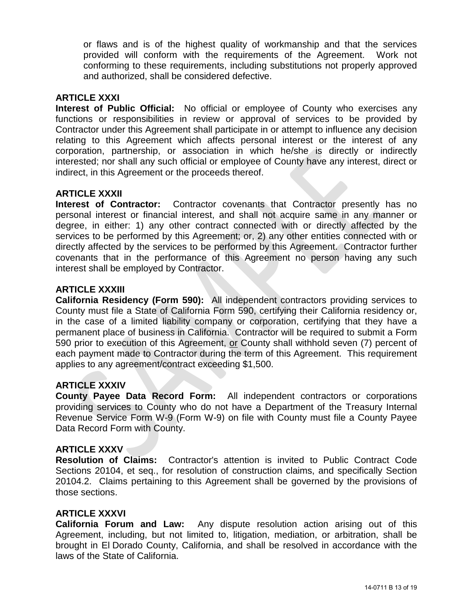or flaws and is of the highest quality of workmanship and that the services provided will conform with the requirements of the Agreement. Work not conforming to these requirements, including substitutions not properly approved and authorized, shall be considered defective.

#### **ARTICLE XXXI**

**Interest of Public Official:** No official or employee of County who exercises any functions or responsibilities in review or approval of services to be provided by Contractor under this Agreement shall participate in or attempt to influence any decision relating to this Agreement which affects personal interest or the interest of any corporation, partnership, or association in which he/she is directly or indirectly interested; nor shall any such official or employee of County have any interest, direct or indirect, in this Agreement or the proceeds thereof.

#### **ARTICLE XXXII**

**Interest of Contractor:** Contractor covenants that Contractor presently has no personal interest or financial interest, and shall not acquire same in any manner or degree, in either: 1) any other contract connected with or directly affected by the services to be performed by this Agreement; or, 2) any other entities connected with or directly affected by the services to be performed by this Agreement. Contractor further covenants that in the performance of this Agreement no person having any such interest shall be employed by Contractor.

#### **ARTICLE XXXIII**

**California Residency (Form 590):** All independent contractors providing services to County must file a State of California Form 590, certifying their California residency or, in the case of a limited liability company or corporation, certifying that they have a permanent place of business in California. Contractor will be required to submit a Form 590 prior to execution of this Agreement, or County shall withhold seven (7) percent of each payment made to Contractor during the term of this Agreement. This requirement applies to any agreement/contract exceeding \$1,500.

#### **ARTICLE XXXIV**

**County Payee Data Record Form:** All independent contractors or corporations providing services to County who do not have a Department of the Treasury Internal Revenue Service Form W-9 (Form W-9) on file with County must file a County Payee Data Record Form with County.

#### **ARTICLE XXXV**

**Resolution of Claims:** Contractor's attention is invited to Public Contract Code Sections 20104, et seq., for resolution of construction claims, and specifically Section 20104.2. Claims pertaining to this Agreement shall be governed by the provisions of those sections.

#### **ARTICLE XXXVI**

**California Forum and Law:** Any dispute resolution action arising out of this Agreement, including, but not limited to, litigation, mediation, or arbitration, shall be brought in El Dorado County, California, and shall be resolved in accordance with the laws of the State of California.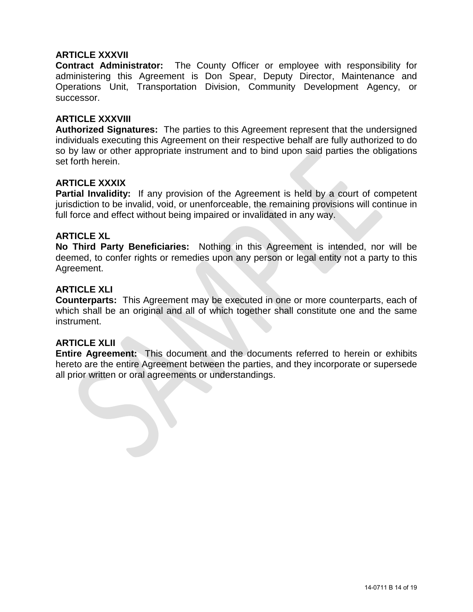#### **ARTICLE XXXVII**

**Contract Administrator:** The County Officer or employee with responsibility for administering this Agreement is Don Spear, Deputy Director, Maintenance and Operations Unit, Transportation Division, Community Development Agency, or successor.

#### **ARTICLE XXXVIII**

**Authorized Signatures:** The parties to this Agreement represent that the undersigned individuals executing this Agreement on their respective behalf are fully authorized to do so by law or other appropriate instrument and to bind upon said parties the obligations set forth herein.

#### **ARTICLE XXXIX**

**Partial Invalidity:** If any provision of the Agreement is held by a court of competent jurisdiction to be invalid, void, or unenforceable, the remaining provisions will continue in full force and effect without being impaired or invalidated in any way.

#### **ARTICLE XL**

**No Third Party Beneficiaries:** Nothing in this Agreement is intended, nor will be deemed, to confer rights or remedies upon any person or legal entity not a party to this Agreement.

#### **ARTICLE XLI**

**Counterparts:** This Agreement may be executed in one or more counterparts, each of which shall be an original and all of which together shall constitute one and the same instrument.

#### **ARTICLE XLII**

**Entire Agreement:** This document and the documents referred to herein or exhibits hereto are the entire Agreement between the parties, and they incorporate or supersede all prior written or oral agreements or understandings.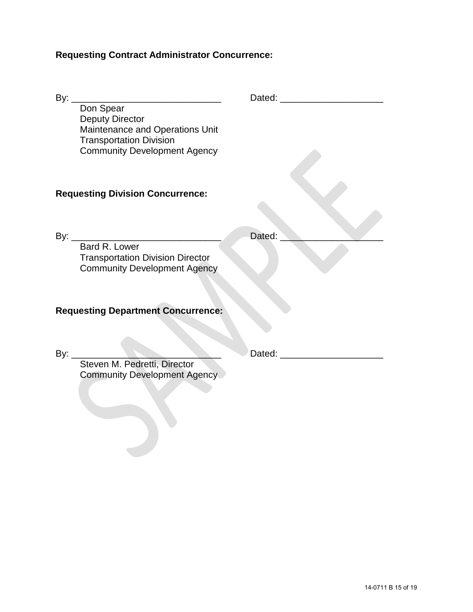# **Requesting Contract Administrator Concurrence:**

| By: $_{-}$<br><u> 1980 - Johann Barn, mars an t-Amerikaansk politiker (</u>                                                                     |        |  |
|-------------------------------------------------------------------------------------------------------------------------------------------------|--------|--|
| Don Spear<br><b>Deputy Director</b><br>Maintenance and Operations Unit<br><b>Transportation Division</b><br><b>Community Development Agency</b> |        |  |
| <b>Requesting Division Concurrence:</b>                                                                                                         |        |  |
|                                                                                                                                                 |        |  |
| By: Bard R. Lower<br><b>Transportation Division Director</b><br><b>Community Development Agency</b>                                             | Dated: |  |
|                                                                                                                                                 |        |  |
| <b>Requesting Department Concurrence:</b>                                                                                                       |        |  |
|                                                                                                                                                 |        |  |
| By: $_{-}$<br>Steven M. Pedretti, Director<br><b>Community Development Agency</b>                                                               |        |  |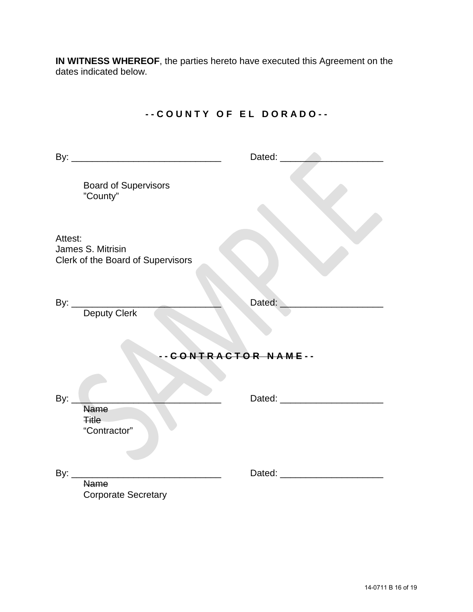**IN WITNESS WHEREOF**, the parties hereto have executed this Agreement on the dates indicated below.

|                                                                   | Dated: <b>National Property</b> |  |
|-------------------------------------------------------------------|---------------------------------|--|
| <b>Board of Supervisors</b><br>"County"                           |                                 |  |
| Attest:<br>James S. Mitrisin<br>Clerk of the Board of Supervisors |                                 |  |
| By: Deputy Clerk                                                  | Dated:                          |  |
| -- CONTRACTOR NAME--                                              |                                 |  |
| By: $\_$<br><b>Name</b><br><b>Title</b><br>"Contractor"           |                                 |  |
| By: $\qquad \qquad$<br><b>Name</b><br><b>Corporate Secretary</b>  |                                 |  |

# **- - C O U N T Y O F E L D O R A D O - -**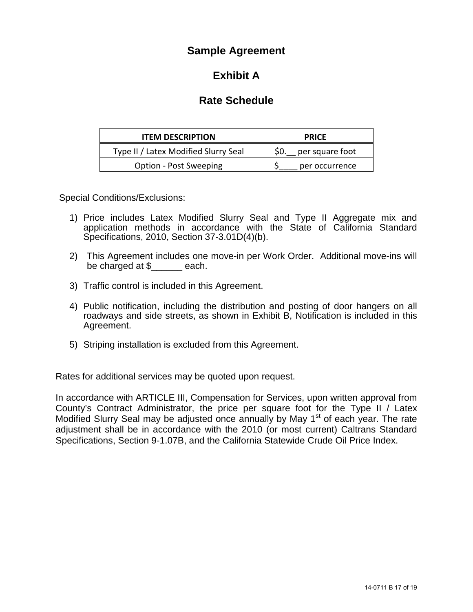# **Sample Agreement**

# **Exhibit A**

# **Rate Schedule**

| <b>ITEM DESCRIPTION</b>              | <b>PRICE</b>           |  |
|--------------------------------------|------------------------|--|
| Type II / Latex Modified Slurry Seal | S0.<br>per square foot |  |
| <b>Option - Post Sweeping</b>        | per occurrence         |  |

Special Conditions/Exclusions:

- 1) Price includes Latex Modified Slurry Seal and Type II Aggregate mix and application methods in accordance with the State of California Standard Specifications, 2010, Section 37-3.01D(4)(b).
- 2) This Agreement includes one move-in per Work Order. Additional move-ins will be charged at \$\_\_\_\_\_\_ each.
- 3) Traffic control is included in this Agreement.
- 4) Public notification, including the distribution and posting of door hangers on all roadways and side streets, as shown in Exhibit B, Notification is included in this Agreement.
- 5) Striping installation is excluded from this Agreement.

Rates for additional services may be quoted upon request.

In accordance with ARTICLE III, Compensation for Services, upon written approval from County's Contract Administrator, the price per square foot for the Type II / Latex Modified Slurry Seal may be adjusted once annually by May 1<sup>st</sup> of each year. The rate adjustment shall be in accordance with the 2010 (or most current) Caltrans Standard Specifications, Section 9-1.07B, and the California Statewide Crude Oil Price Index.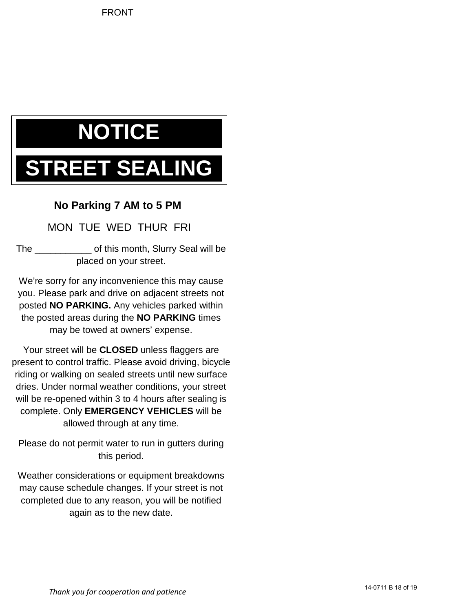# **NOTICE**

# **REET SEALING**

# **No Parking 7 AM to 5 PM**

MON TUE WED THUR FRI

The \_\_\_\_\_\_\_\_\_\_\_ of this month, Slurry Seal will be placed on your street.

We're sorry for any inconvenience this may cause you. Please park and drive on adjacent streets not posted **NO PARKING.** Any vehicles parked within the posted areas during the **NO PARKING** times may be towed at owners' expense.

Your street will be **CLOSED** unless flaggers are present to control traffic. Please avoid driving, bicycle riding or walking on sealed streets until new surface dries. Under normal weather conditions, your street will be re-opened within 3 to 4 hours after sealing is complete. Only **EMERGENCY VEHICLES** will be allowed through at any time.

Please do not permit water to run in gutters during this period.

Weather considerations or equipment breakdowns may cause schedule changes. If your street is not completed due to any reason, you will be notified again as to the new date.